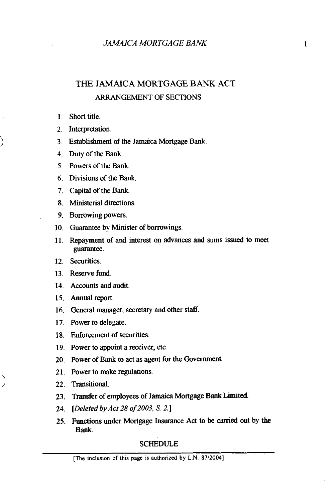## THE JAMAICA MORTGAGE BANK ACT ARRANGEMENT OF SECTIONS

- Short title.
- 2. Interpretation.
- Establishment of the Jamaica Mortgage Bank.
- Duty of the Bank.
- Powers of the Bank.
- Divisions of the Bank.
- Capita1 of the Bank.
- Ministerial directions.
- 9. Borrowing powers.
- 10. Guarantee by Minister of borrowings.
- 11. Repayment of and interest on advances and sums issued to meet guarantee.
- 12. Securities.
- 13 Reserve fund.
- 14. Accounts and audit.
- 15. Annual report.
- 16. General manager, secretary and other staff.
- 17. Power to delegate.
- Enforcement of securities.
- 19. Power to appoint a receiver, etc.
- 20. Power of Bank to act as agent for the Government.
- 21. Power to make regulations.
- 22. Transitional.
- Transfer of employees of Jamaica Mortgage Bank Limited.
- *[Deleted* by *Act* 28 *of* 2003, *S.* 2.1
- Functions under Mortgage Insurance **Act** to be carried out by the **Bank.**

## **SCHEDULE**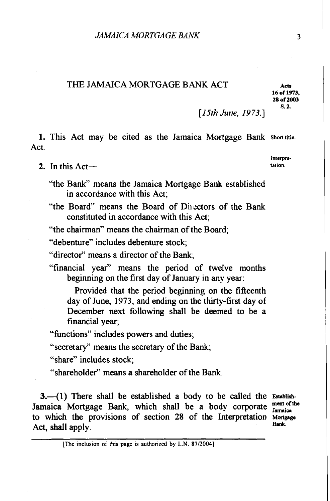## THE JAMAICA MORTGAGE BANK ACT **Acts**

**16 of 1973, 28 of 2003** 

[ $15th$  June,  $1973.$ ]

1. This Act may be cited as the Jamaica Mortgage Bank **Shorttitle.**  Act.

2. In this Act—

"the Bank" means the Jamaica Mortgage Bank established in accordance with this Act;

"the Board" means the Board of Divectors of the Bank constituted in accordance with this Act;

"the chairman" means the chairman of the Board;

"debenture" includes debenture stock;

"director" means a director of the Bank;

"financial year" means the period of twelve months beginning on the first day of January in any year:

Provided that the period beginning on the fifteenth day of June, 1973, and ending on the thirty-first day of December next following shall be deemed to be a financial year;

"functions" includes powers and duties;

"secretary" means the secretary of the Bank;

"share" includes stock;

"shareholder" means a shareholder of the Bank.

**3.**-(1) There shall be established a body to be called the Establish-Jamaica Mortgage Bank, which shall be a body corporate ment of the to which the provisions of section 28 of the Interpretation Mortgage Act, shall apply.

**[The inclusion of this page is authorized by L.N. 87120041** 

**Interpre-**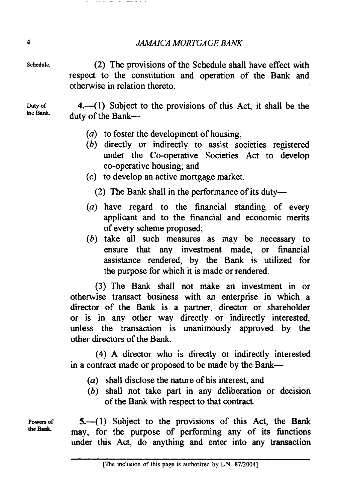## **4** *JMICA MORTGAGE BANK*

**Schedule.** *(2)* The provisions of the Schedule shall have effect with respect to the constitution and operation of the Bank and otherwise in relation thereto.

**Duty of** *4.-41)* Subject to the provisions of this Act, it shall be the duty of the Bank-

- *(a)* to foster the development of housing;
- *(b)* directly or indirectly to assist societies registered under the Co-operative Societies Act to develop co-operative housing; and
- (c) to develop an active mortgage market.
	- (2) The Bank shall in the performance of its duty-
- *(a)* have regard to the financial standing of every applicant and to the financial and economic merits of every scheme proposed;
- *(b)* take all such measures as may be necessary to ensure that any investment made, or financial assistance rendered, by the Bank is utilized for the purpose for which it is made or rendered.

(3) The Bank shall not make an investment in or otherwise transact business with an enterprise in which a director of the Bank is a partner, director or shareholder or is in any other way directly or indirectly interested, unless the transaction is unanimously approved by the other directors of the Bank.

(4) A director who is directly or indirectly interested in a contract made or proposed to be made by the Bank--

- *(a)* shall disclose the nature of his interest; and
- (b) shall not take part in any deliberation or decision of the Bank with respect to that contract.

**Powers of 5.-41)** Subject to the provisions of this Act, the Bank the Bank may, for the purpose of performing any of its functions under this Act, do anything and enter into any transaction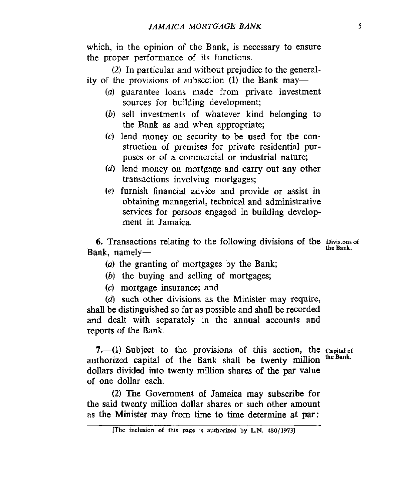which, in the opinion of the Bank, is necessary to ensure the proper performance of its functions.

(2) In particular and without prejudice to the generality of the provisions of subsection (1) the Bank may-

- (a) guarantee loans made from private investment sources for building development;
- *(b)* sell investments of whatever kind belonging to the Bank as and when appropriate;
- **(c)** lend money on security to be used for the construction of premises for private residential purposes or of a commercial or industrial nature;
- *(6)* lend money **on** mortgage and carry out any other transactions involving mortgages;
- *(e)* furnish financial advice and provide or assist in obtaining managerial, technical and administrative services for persons engaged in building development in Jamaica.

**6.** Transactions relating to the following divisions of the Divisions of the Bank. **Bank**, namely-

*(a)* the granting of mortgages by the Bank;

- *(b)* the buying and selling of mortgages;
- **(c)** mortgage insurance; and

(d) such other divisions as the Minister may require, shall be distinguished so far as possible and shall be recorded and dealt with separately in the annual accounts and reports of the Bank.

**7.**—(1) Subject to the provisions of this section, the capital of the **Pank Capital** of the **Pank Capital Computer Capital Computer Capital Computer Capital Computer Capital Computer Capital Comp the Bank.** authorized capital of the Bank shall be twenty million dollars divided into twenty million shares of the **par value**  *of* one dollar each.

**(2)** The Government of Jamaica may subscribe for the said twenty million dollar shares or such other amount as the Minister may from time to time determine at **par:** 

**<sup>[</sup>The** inclusion **of this page is authorized by L.N. 480/1973]**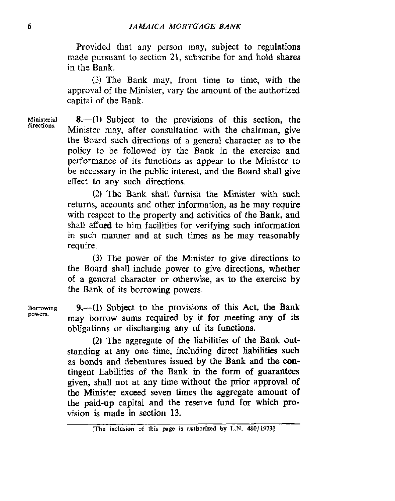Provided that any person may, subject to regulations made pursuant to section **21,** subscribe for and hold shares in the Bank.

*(3* The Bank may, from time to time, with the approval of the Minister, vary the amount of the authorized capital of the Bank.

Ministerial **8.**-(1) Subject to the provisions of this section, the Minister may, after consultation with the chairman, give the Board such directions of a general character as to the policy to be followed by the Bank in the exercise and performance of its functions as appear to the Minister to be necessary in the public interest, and the Board shall give effect to any such directions. **directions.** 

> (2) The Bank shall furnish the Minister with such returns, accounts and other information, **as** he may require with respect to the property and activities of the Bank, and shall afford to him facilities for verifying such information in such manner and at such times as he may reasonably require.

> **(3)** The power of the Minister to give directions to the Board shall include power to give directions, whether of a general character or otherwise, as to the exercise by the Bank of its borrowing powers.

**9.-(1)** Subject to the provisions of this Act, the Bank may borrow sums required by it for meeting **any** of its obligations or discharging any *of* its functions.

**(2)** The aggregate of the liabilities **of** the **Bank** outstanding at any one time, including direct liabilities such as bonds and debentures issued by the **Bank** and the **con**tingent liabilities **of** the **Bank in** the form of **guarantees**  given, shall not at any time without the prior approval of the Minister exceed seven times the aggregate amount of the paid-up capital and the reserve fund for which provision is made **in** section 13.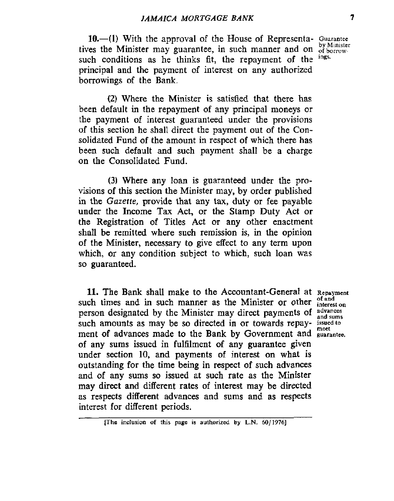10.41) With the approval of the House of Representa- **Guarantee**  tives the Minister may guarantee, in such manner and on  $\frac{dy}{dt}$  minister such conditions as he thinks fit the renormant of the <sup>ings.</sup> such conditions as he thinks fit, the repayment of the principal and the payment of interest on any authorized borrowings of the Bank.

**(2)** Where the Minister is satisfied that there has been default in the repayment of any principal moneys or the payment *of* interest guaranteed under the provisions of this section he shall direct the payment out of the Consolidated Fund of the amount in respect of which there has been such default and such payment shall be a charge on the Consolidated Fund.

**(3)** Where any loan is guaranteed under the provisions of **this** section the Minister may, by order published in the *Gazette,* provide that any **tax,** duty or fee payable under the Income **Tax** Act, or the Stamp Duty Act or the Registration of Titles Act or any other enactment shall be remitted where such remission is, in the opinion of the Minister, necessary to give effect to any term upon which, or any condition subject to which, such loan was so guaranteed.

**11.** The Bank shall make to the Accountant-General at Repayment  $\mathbf{r}$  is the set of and such times and in such manner as the Minister or other  $\frac{\text{of and}}{\text{interest on}}$ person designated by the Minister may direct payments of advances such amounts as may be so directed in or towards repay- **issuedto**  ment of advances made to the Bank by Government and **guarantee**. of any sums issued in fulfilment of any guarantee given under section 10, and payments of interest on what **is**  outstanding for the time being in respect of such advances and of any sums so issued at such rate as the Minister may direct **and** different rates of interest may be directed as respects different advances and sums and as respects interest for different periods.

**<sup>[</sup>The inclusion** *of* **this page is authorized by L.N.** *60/1976]*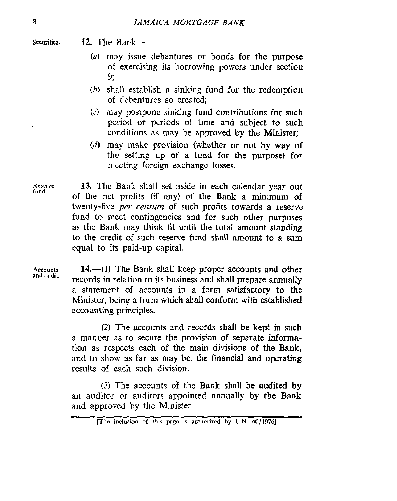Securities. **12.** The Bank-

- *(0)* may issue debentures or bonds for the purpose of exercising its borrowing powers under section 9;
- *(h)* shall establish a sinking fund for the redemption **of** debentures so created;
- **(c)** may postpone sinking fund contributions for such period or periods of time and subject to such conditions as may be approved by the Minister;
- (d) may make provision (whether or not by way of the setting up of a fund for the purpose) for meeting foreign exchange losses.

Reserve 13. The Bank shall set aside in each calendar year out of the net profits (if any) of the Bank a minimum of twenty-five *per centum* of **such** profits towards a reserve fund to meet contingencies and for such other purposes as the Bank may **think** fit until the total amount standing to the credit of such reserve fund shall amount to a sum equal to its paid-up capital.

Accounts **14.** --(1) The Bank shall keep proper accounts and other records in relation **to** its business and shall prepare annually a statement of accounts in a form satisfactory to the Minister, being a form which shall conform with established accounting principles.

> (2) The accounts and records shall **be** kept in such a manner as to secure the provision of separate information as respects each of the main divisions *of* the Bank, and to show as far as may be, the financial and operating results of each such division.

> **(3)** The accounts **of** the Bank shall be audited by an auditor or auditors appointed annually **by** the Bank and approved by the Minister.

**fund.** 

**and audit.** 

 $[The$  **inclusion** of **this** page is authorized by **L.N.**  $60/1976$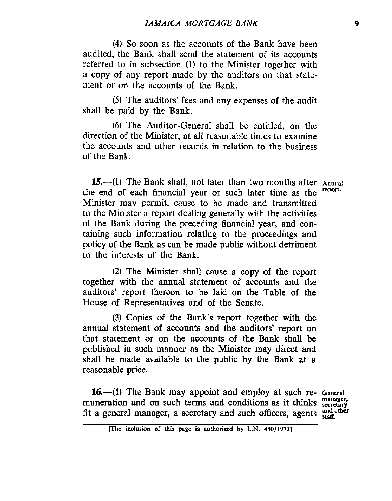**(4)** So soon as the accounts of the Bank have been audited, the Bank shall send the statement of its accounts referred to in subsection **(1)** to the Minister together with a copy of any report made by the auditors on that statement or on the accounts of the Bank.

**(5)** The auditors' fees and any expenses of the audit shall be paid by the Bank.

*(6)* The Auditor-General shall be entitled, on the direction of the Minister, at all reasonable times to examine the accounts and other records in relation to the business of the Bank.

**15.**—(1) The Bank shall, not later than two months after Annual <br> **a** and of each financial year or such later time as the figure the end of each financial year or such later time as the Minister may permit, cause to be made and transmitted to the Minister a report dealing generally with the activities of the Bank during the preceding financial year, and containing such information relating to the proceedings and policy of the Bank as can be made public without detriment to the interests of the Bank.

**(2)** The Minister shall cause a copy of the report together with the annual statement of accounts and the auditors' report thereon to be laid on the Table **of** the House of Representatives and **of** the Senate.

(3) Copies *of* the Bank's report together **with** the **annual** statement of accounts and the auditors' report on that statement or on the accounts of the Bank shall be published in such manner as the Minister may direct and shall be made available to the public **by** the Bank at a reasonable price.

**16.-(1)** The Bank may appoint and employ at such re- **General**  muneration and on such terms and conditions as it thinks **manager**. fit a general manager, a secretary and such officers, agents  $_{\text{stat}}^{\text{and other}}$ 

**me inclusion of this wge is authorized by L.N. 480/1973]**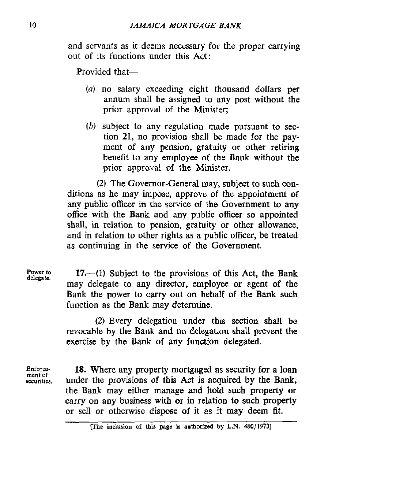and servants as it deems necessary for the proper carrying out of its functions under this Act:

Provided that-

- *(a)* no salary exceeding eight thousand dollars per annum shall be assigned to any post without the prior approval of the Minister;
- *(b)* subject to any regulation made pursuant to section **21,** no provision shall be made for the payment of any pension, gratuity or other retiring benefit to any employee of the Bank without the prior approval of the Minister.

(2) The Governor-General may, subject to such conditions as he may impose, approve of the appointment **of any** public officer in the service of the Government to any office with the Bank and any public officer **so** appointed **shall,** in relation to pension, gratuity or other allowance, and in relation to other rights as a public officer, be treated as continuing in the service of the Government.

**Power to 17.**-(1) Subject to the provisions of this Act, the Bank may delegate to any director, employee or agent **of** the Bank the power to carry **out** on behalf of the Bank such function as the Bank may determine.

> **(2)** Every delegation under this section shall be revocable by the Bank **and** no delegation shall prevent the exercise by the Bank of any function delegated.

**Enforce**securities. **ment of** 

**delegate.** 

**18.** Where any property mortgaged as security for **a** loan under the provisions of this Act is acquired by the Bank, the Bank may either manage **and** hold such property or *carry* on **any** business with or in relation to such property or sell or otherwise dispose of it as it may deem fit.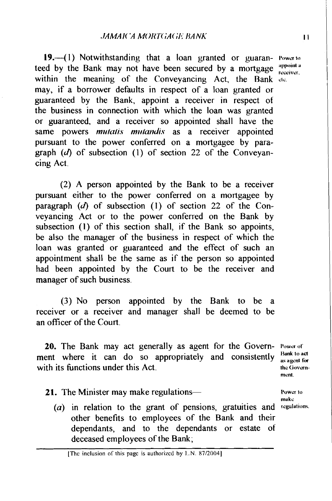**19.**-(1) Notwithstanding that a loan granted or guaran- Powerto teed by the Bank may not have been secured by a mortgage <sup>appoint a</sup> receiver. within the meaning of the Conveyancing Act, the Bank etc. may, if a borrower defaults in respect of a loan granted or guaranteed by the Bank, appoint a receiver in respect of the business in connection with which the loan was granted or guaranteed. and a receiver so appointed shall have the same powers *mutatis mutandis* as a receiver appointed pursuant to the power conferred on a mortgagee by paragraph  $(d)$  of subsection (1) of section 22 of the Conveyancing Act.

(2) A person appointed by the Bank to be a receiver pursuant either to the power conferred on a mortgagee by paragraph  $(d)$  of subsection  $(1)$  of section 22 of the Conveyancing Act or to the power conferred on the Bank by subsection **(1)** of this section shall, if the Bank so appoints, be also the manager of the business in respect of which the loan was granted or guaranteed and the effect of such an appointment shall be the same as if the person so appointed had been appointed by the Court to be the receiver and manager of such business.

(3) No person appointed by the Bank to be a receiver or a receiver and manager shall be deemed to be an officer of the Court.

20. The Bank may act generally as agent for the Govern- **Power of** ment where it can do so appropriately and consistently  $\frac{\text{Bank to act}}{\text{as agent for}}$ with its functions under this Act. **In the Covern-**

**monl.** 

**make** 

**21.** The Minister may make regulations—

 $(a)$  in relation to the grant of pensions, gratuities and regulations. other benefits to employees of the Bank and their dependants, and to the dependants or estate of deceased employees of the Bank;

 $\mathbf{H}$ 

[Thc **inclusion** of this pagc **is** authorized **by** I..N. **87120041**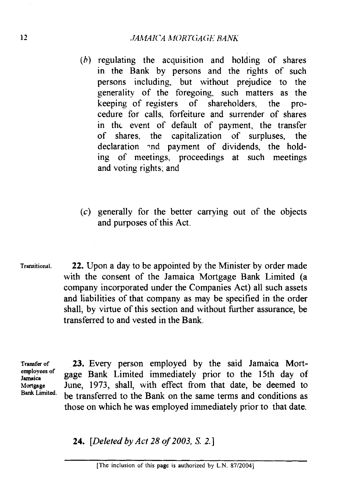- $(b)$  regulating the acquisition and holding of shares in the Bank by persons and the rights of such persons including, but without prejudice to the generality of the foregoing, such matters as the keeping of registers of shareholders, the procedure for calls, forfeiture and surrender of shares in thc event of default of payment, the transfer of shares, the capitalization of surpluses, the declaration -nd payment of dividends, the holding of meetings, proceedings at such meetings and voting rights, and
- (c) generally for the better carrying out of the objects and purposes of this Act.
- **Transitional.** 22. Upon a day to be appointed by the Minister by order made with the consent of the Jamaica Mortgage Bank Limited (a company incorporated under the Companies Act) all such assets and liabilities of that company as may be specified in the order shall, by virtue of this section and without further assurance, be transferred to and vested in the Bank.

**Transfer of 23.** Every person employed by the said Jamaica Mort**employees of Jamaica** gage Bank Limited immediately prior to the 15th day of Mortgage June, 1973, shall, with effect from that date, be deemed to Bank Limited. be transferred to the Bank on the same terms and conditions as those on which he was employed immediately prior to that date.

24. [Deleted by Act *28* of *2003, S.* **2.1**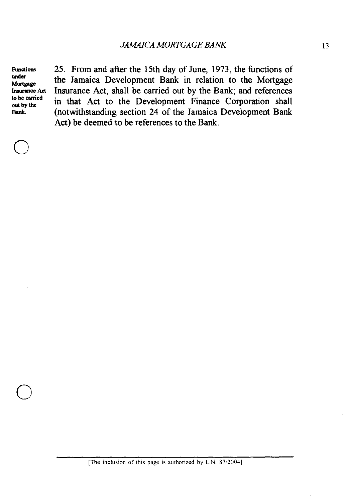under<br>Mortgage

Functions 25. From and after the 15th day of June, 1973, the functions of under the Jamaica Development Bank in relation to the Mortgage<br>
Insurance Act Shall be carried out by the Bank: and references **Insurance Act Insurance Act**, shall be carried out by the Bank; and references to be carried in that Act to the Development Einence Composition shall to be carried in that Act to the Development Finance Corporation shall Bank. (notwithstanding section 24 of the Jamaica Development Bank Act) be deemed to be references to the Bank.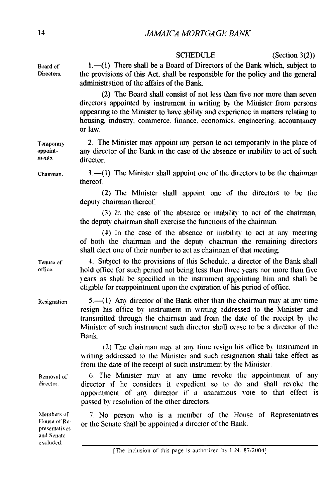**Board of Directors. Temporary appointments. Chairman. 'rmure of office. Resignation Renio\al of director. Members** of **House of' Representati\ cs and Senate**  excluded. SCHEDULE (Section 3(2)) 1.-(1) There shall be a Board of Directors of the Bank which, subject to the provisions of this Act. shall be responsible for the policy and the general admimstration of the affairs of the Bank. (2) The Board shall consist of not less than five nor more than seven directors appointed by instrument in writing by the Minister from persous appearing to the Minister to have ability and experience in matters relating to housing. industry. commerce. finance. economics. engineering. accountancy or law. 2. The Minister may appoint any person to act temporarily in the place of any director of the Bank in the case of the absence or inability to act of such director.  $3.(-1)$  The Minister shall appoint one of the directors to be the chairman thereof. (2) The Minister shall appoint one of the directors to be the deputy chairman thereof. (3) In the case of the absence or inability to act of the chairman. the deputy chairman shall exercise the functions of the chairman. (4) In the case of the absence or inability to act at any meeting of both the chairman and the deputy chairman the remaining directors shall elect one of their number to act as chairman of that meeting. 4. Subject to the provisions of this Schedule. a director of the Bank shall hold office for such period not being less than three years nor more than five vears as shall be specified in the instrument appointing him and shall be eligible for reappointment upon the expiration of his period of office.  $5.-(1)$  Any director of the Bank other than the chairman may at any time resign his office by instrument in writing addressed to the Minister and transmitted through the chairman and from the date of the receipt by the Minister of such instrument such director shall cease to be a director of the Bank. (2) The chairman may at any time resign his office by instrument in writing addressed to the Minister and such resignation shall take effect as from the date of the receipt of such instrument by the Minister. 6 The Minister may at any time revoke the appointment of any director if he considers it expedient so to do and shall revoke the appointment of any director if a unanimous vote to that effect is passed by resolution of the other directors. 7. No person who is a member of the House of Representatives or the Senate shall be appointed a director of the Bank. [The inclusion of this page is authorized by L.N. 87/2004]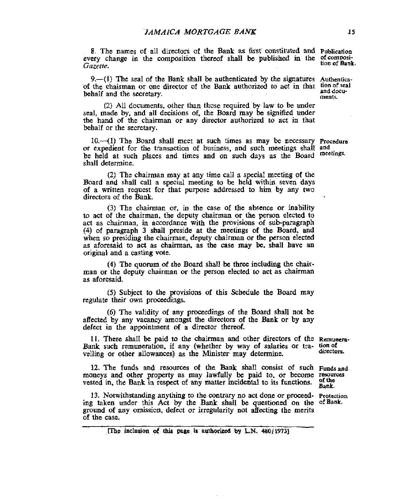8. The names of all directori of the Bank as Grst constituted and **Publication**  every change in the composition thereof shall be published in the **of composi-**<br>Gazette.

9.—(1) The seal of the Bank shall be authenticated by the signatures Authenticaof the chairman or one director of the Bank authorized to act in that **tion** of seal **behalf** and the secretary. **and the Secretary. here** is a secretary and the secretary.

(2) All documents. other than those required by law to be under seal, made by, and all decisions of, the Board may he signified under the hand of the chairman or any **director** authorized to act in that behalf or the secretary.

or expedient for the transaction of business, and such meetings shall **and**  be held at such places and times and on such days as the Board shall determine. 10.—(1) The Board shall meet at such times as may be necessary **Procedure** 

(2) The chairman may at any time call a **special** meeting of the Board and shall call a special meeting to be held within seven days of a written request for that purpose addressed to him by any two directors of the Bank.

(3) The chairman **or.** in the case of the absence or inability to act *of* the chairman, the deputy chairman or the person elected to act as chairman, in accordance with the provisions of subparagraph **(4)** of paragraph 3 shaU preside at the meetings of the Board, and when **so** presiding the chairman, deputy chairman or the person elected as aforesaid to **act** as chairman, as the case may **be.** sball have an original and **a** casting vote.

**(4)** The quorum **of** the Board shall be three including the chairman or the deputy chairman or the person elected to **act** as chairman as aforesaid.

*(5)* Subject to the provisions of this Schedule the Board may regulate their own proceedings.

(6) The validity of any proceedings of the Board shall not he affected by any vacancy amongst the **directors** of the Bank or by any defect in the appointment **of** a director thereof.

Bank such remuneration, if any (whether by way of salaries or tra- **tionof**  velling or other allowances) as the Minister may determine. 11. There shall be paid to the chairman and other directors of the **Remunera**directors.

moneys and other property as may lawfully be paid to, or become resources vested in, the Bank in respect of any matter incidental to its functions. 12. The funds and resources of the Bank shall consist of such **Funds** and

13. Notwithstanding anything to the *contrary* no act done or proceed- **Protcctim**  ing taken under this Act **by** the **Bank** shall be questioned **on** the **ofBank.**  ground of any omission. defect or irregularity not affecting the merits of the case.

,m)~ **inclusion** *ot'* **this page.ia autboripsd by LN. 48Of19731** 

Bank.